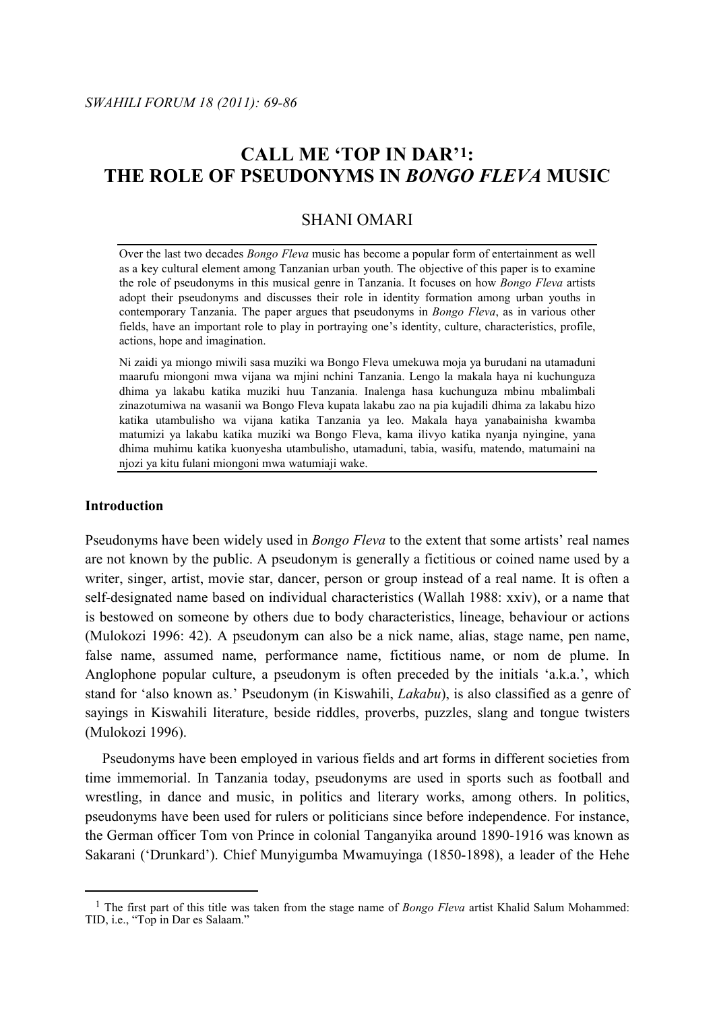# **CALL ME 'TOP IN DAR'[1](#page-0-0) : THE ROLE OF PSEUDONYMS IN** *BONGO FLEVA* **MUSIC**

## SHANI OMARI

Over the last two decades *Bongo Fleva* music has become a popular form of entertainment as well as a key cultural element among Tanzanian urban youth. The objective of this paper is to examine the role of pseudonyms in this musical genre in Tanzania. It focuses on how *Bongo Fleva* artists adopt their pseudonyms and discusses their role in identity formation among urban youths in contemporary Tanzania. The paper argues that pseudonyms in *Bongo Fleva*, as in various other fields, have an important role to play in portraying one's identity, culture, characteristics, profile, actions, hope and imagination.

Ni zaidi ya miongo miwili sasa muziki wa Bongo Fleva umekuwa moja ya burudani na utamaduni maarufu miongoni mwa vijana wa mjini nchini Tanzania. Lengo la makala haya ni kuchunguza dhima ya lakabu katika muziki huu Tanzania. Inalenga hasa kuchunguza mbinu mbalimbali zinazotumiwa na wasanii wa Bongo Fleva kupata lakabu zao na pia kujadili dhima za lakabu hizo katika utambulisho wa vijana katika Tanzania ya leo. Makala haya yanabainisha kwamba matumizi ya lakabu katika muziki wa Bongo Fleva, kama ilivyo katika nyanja nyingine, yana dhima muhimu katika kuonyesha utambulisho, utamaduni, tabia, wasifu, matendo, matumaini na njozi ya kitu fulani miongoni mwa watumiaji wake.

## **Introduction**

Pseudonyms have been widely used in *Bongo Fleva* to the extent that some artists' real names are not known by the public. A pseudonym is generally a fictitious or coined name used by a writer, singer, artist, movie star, dancer, person or group instead of a real name. It is often a self-designated name based on individual characteristics (Wallah 1988: xxiv), or a name that is bestowed on someone by others due to body characteristics, lineage, behaviour or actions (Mulokozi 1996: 42). A pseudonym can also be a nick name, alias, stage name, pen name, false name, assumed name, performance name, fictitious name, or nom de plume. In Anglophone popular culture, a pseudonym is often preceded by the initials 'a.k.a.', which stand for 'also known as.' Pseudonym (in Kiswahili, *Lakabu*), is also classified as a genre of sayings in Kiswahili literature, beside riddles, proverbs, puzzles, slang and tongue twisters (Mulokozi 1996).

Pseudonyms have been employed in various fields and art forms in different societies from time immemorial. In Tanzania today, pseudonyms are used in sports such as football and wrestling, in dance and music, in politics and literary works, among others. In politics, pseudonyms have been used for rulers or politicians since before independence. For instance, the German officer Tom von Prince in colonial Tanganyika around 1890-1916 was known as Sakarani ('Drunkard'). Chief Munyigumba Mwamuyinga (1850-1898), a leader of the Hehe

<span id="page-0-0"></span><sup>&</sup>lt;sup>1</sup> The first part of this title was taken from the stage name of *Bongo Fleva* artist Khalid Salum Mohammed: TID, i.e., "Top in Dar es Salaam."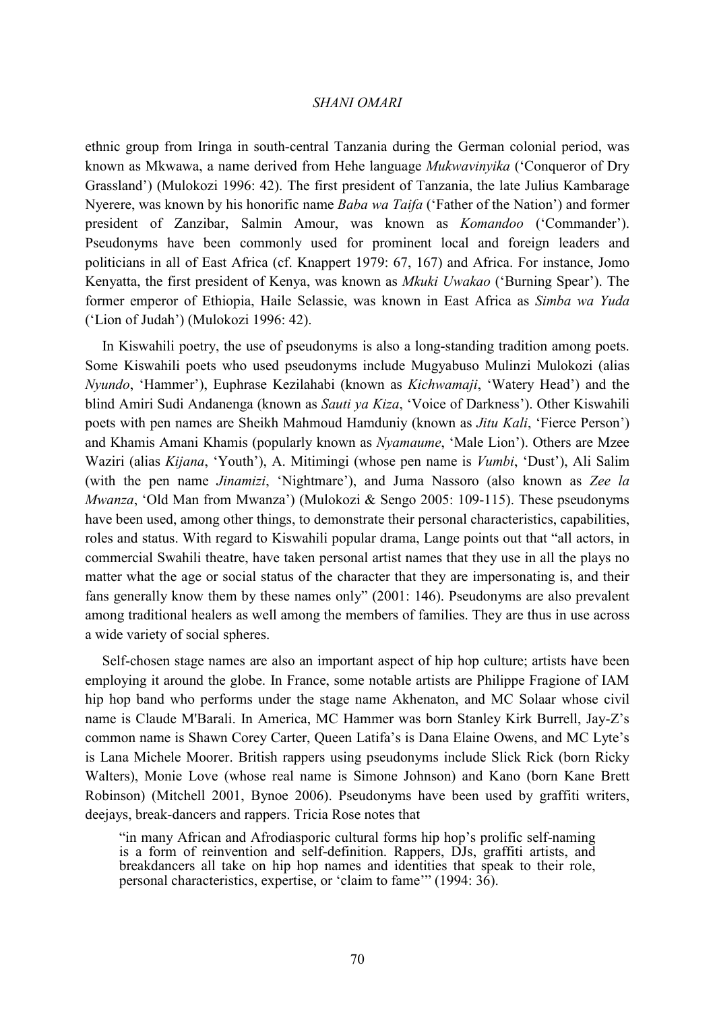ethnic group from Iringa in south-central Tanzania during the German colonial period, was known as Mkwawa, a name derived from Hehe language *Mukwavinyika* ('Conqueror of Dry Grassland') (Mulokozi 1996: 42). The first president of Tanzania, the late Julius Kambarage Nyerere, was known by his honorific name *Baba wa Taifa* ('Father of the Nation') and former president of Zanzibar, Salmin Amour, was known as *Komandoo* ('Commander'). Pseudonyms have been commonly used for prominent local and foreign leaders and politicians in all of East Africa (cf. Knappert 1979: 67, 167) and Africa. For instance, Jomo Kenyatta, the first president of Kenya, was known as *Mkuki Uwakao* ('Burning Spear'). The former emperor of Ethiopia, Haile Selassie, was known in East Africa as *Simba wa Yuda* ('Lion of Judah') (Mulokozi 1996: 42).

In Kiswahili poetry, the use of pseudonyms is also a long-standing tradition among poets. Some Kiswahili poets who used pseudonyms include Mugyabuso Mulinzi Mulokozi (alias *Nyundo*, 'Hammer'), Euphrase Kezilahabi (known as *Kichwamaji*, 'Watery Head') and the blind Amiri Sudi Andanenga (known as *Sauti ya Kiza*, 'Voice of Darkness'). Other Kiswahili poets with pen names are Sheikh Mahmoud Hamduniy (known as *Jitu Kali*, 'Fierce Person') and Khamis Amani Khamis (popularly known as *Nyamaume*, 'Male Lion'). Others are Mzee Waziri (alias *Kijana*, 'Youth'), A. Mitimingi (whose pen name is *Vumbi*, 'Dust'), Ali Salim (with the pen name *Jinamizi*, 'Nightmare'), and Juma Nassoro (also known as *Zee la Mwanza*, 'Old Man from Mwanza') (Mulokozi & Sengo 2005: 109-115). These pseudonyms have been used, among other things, to demonstrate their personal characteristics, capabilities, roles and status. With regard to Kiswahili popular drama, Lange points out that "all actors, in commercial Swahili theatre, have taken personal artist names that they use in all the plays no matter what the age or social status of the character that they are impersonating is, and their fans generally know them by these names only" (2001: 146). Pseudonyms are also prevalent among traditional healers as well among the members of families. They are thus in use across a wide variety of social spheres.

Self-chosen stage names are also an important aspect of hip hop culture; artists have been employing it around the globe. In France, some notable artists are Philippe Fragione of IAM hip hop band who performs under the stage name Akhenaton, and MC Solaar whose civil name is Claude M'Barali. In America, MC Hammer was born Stanley Kirk Burrell, Jay-Z's common name is Shawn Corey Carter, Queen Latifa's is Dana Elaine Owens, and MC Lyte's is Lana Michele Moorer. British rappers using pseudonyms include Slick Rick (born Ricky Walters), Monie Love (whose real name is Simone Johnson) and Kano (born Kane Brett Robinson) (Mitchell 2001, Bynoe 2006). Pseudonyms have been used by graffiti writers, deejays, break-dancers and rappers. Tricia Rose notes that

"in many African and Afrodiasporic cultural forms hip hop's prolific self-naming is a form of reinvention and self-definition. Rappers, DJs, graffiti artists, and breakdancers all take on hip hop names and identities that speak to their role, personal characteristics, expertise, or 'claim to fame'" (1994: 36).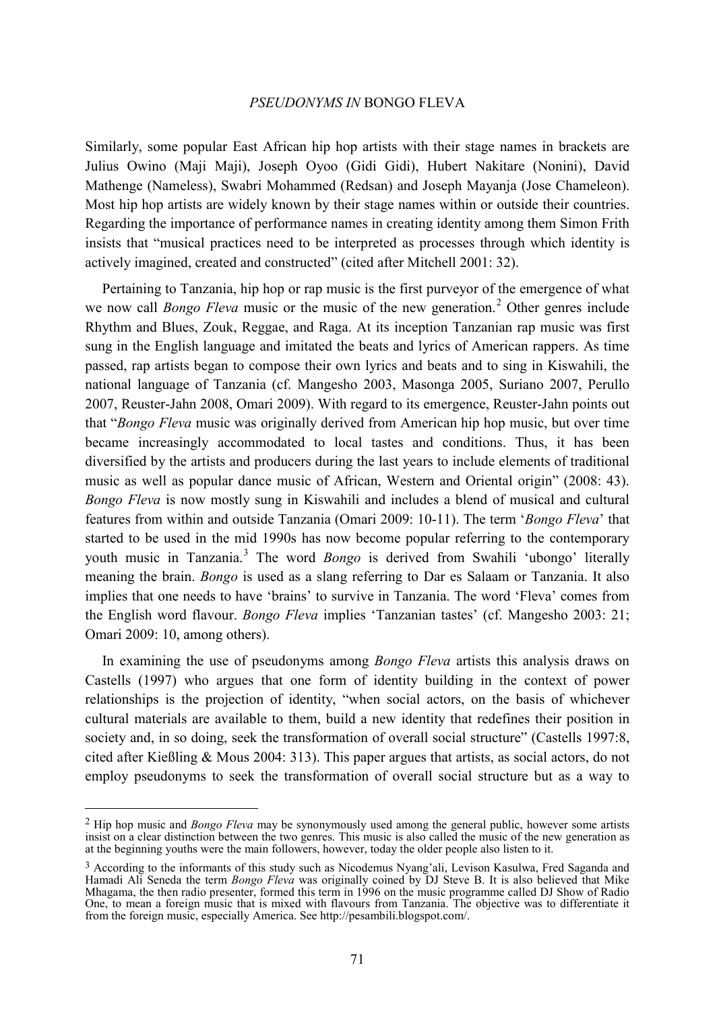Similarly, some popular East African hip hop artists with their stage names in brackets are Julius Owino (Maji Maji), Joseph Oyoo (Gidi Gidi), Hubert Nakitare (Nonini), David Mathenge (Nameless), Swabri Mohammed (Redsan) and Joseph Mayanja (Jose Chameleon). Most hip hop artists are widely known by their stage names within or outside their countries. Regarding the importance of performance names in creating identity among them Simon Frith insists that "musical practices need to be interpreted as processes through which identity is actively imagined, created and constructed" (cited after Mitchell 2001: 32).

Pertaining to Tanzania, hip hop or rap music is the first purveyor of the emergence of what we now call *Bongo Fleva* music or the music of the new generation.<sup>[2](#page-2-0)</sup> Other genres include Rhythm and Blues, Zouk, Reggae, and Raga. At its inception Tanzanian rap music was first sung in the English language and imitated the beats and lyrics of American rappers. As time passed, rap artists began to compose their own lyrics and beats and to sing in Kiswahili, the national language of Tanzania (cf. Mangesho 2003, Masonga 2005, Suriano 2007, Perullo 2007, Reuster-Jahn 2008, Omari 2009). With regard to its emergence, Reuster-Jahn points out that "*Bongo Fleva* music was originally derived from American hip hop music, but over time became increasingly accommodated to local tastes and conditions. Thus, it has been diversified by the artists and producers during the last years to include elements of traditional music as well as popular dance music of African, Western and Oriental origin" (2008: 43). *Bongo Fleva* is now mostly sung in Kiswahili and includes a blend of musical and cultural features from within and outside Tanzania (Omari 2009: 10-11). The term '*Bongo Fleva*' that started to be used in the mid 1990s has now become popular referring to the contemporary youth music in Tanzania. [3](#page-2-1) The word *Bongo* is derived from Swahili 'ubongo' literally meaning the brain. *Bongo* is used as a slang referring to Dar es Salaam or Tanzania. It also implies that one needs to have 'brains' to survive in Tanzania. The word 'Fleva' comes from the English word flavour. *Bongo Fleva* implies 'Tanzanian tastes' (cf. Mangesho 2003: 21; Omari 2009: 10, among others).

In examining the use of pseudonyms among *Bongo Fleva* artists this analysis draws on Castells (1997) who argues that one form of identity building in the context of power relationships is the projection of identity, "when social actors, on the basis of whichever cultural materials are available to them, build a new identity that redefines their position in society and, in so doing, seek the transformation of overall social structure" (Castells 1997:8, cited after Kießling & Mous 2004: 313). This paper argues that artists, as social actors, do not employ pseudonyms to seek the transformation of overall social structure but as a way to

<span id="page-2-0"></span> <sup>2</sup> Hip hop music and *Bongo Fleva* may be synonymously used among the general public, however some artists insist on a clear distinction between the two genres. This music is also called the music of the new generation as at the beginning youths were the main followers, however, today the older people also listen to it.

<span id="page-2-1"></span><sup>&</sup>lt;sup>3</sup> According to the informants of this study such as Nicodemus Nyang'ali, Levison Kasulwa, Fred Saganda and Hamadi Ali Seneda the term *Bongo Fleva* was originally coined by DJ Steve B. It is also believed that Mike Mhagama, the then radio presenter, formed this term in 1996 on the music programme called DJ Show of Radio One, to mean a foreign music that is mixed with flavours from Tanzania. The objective was to differentiate it from the foreign music, especially America. Se[e http://pesambili.blogspot.com/.](http://pesambili.blogspot.com/)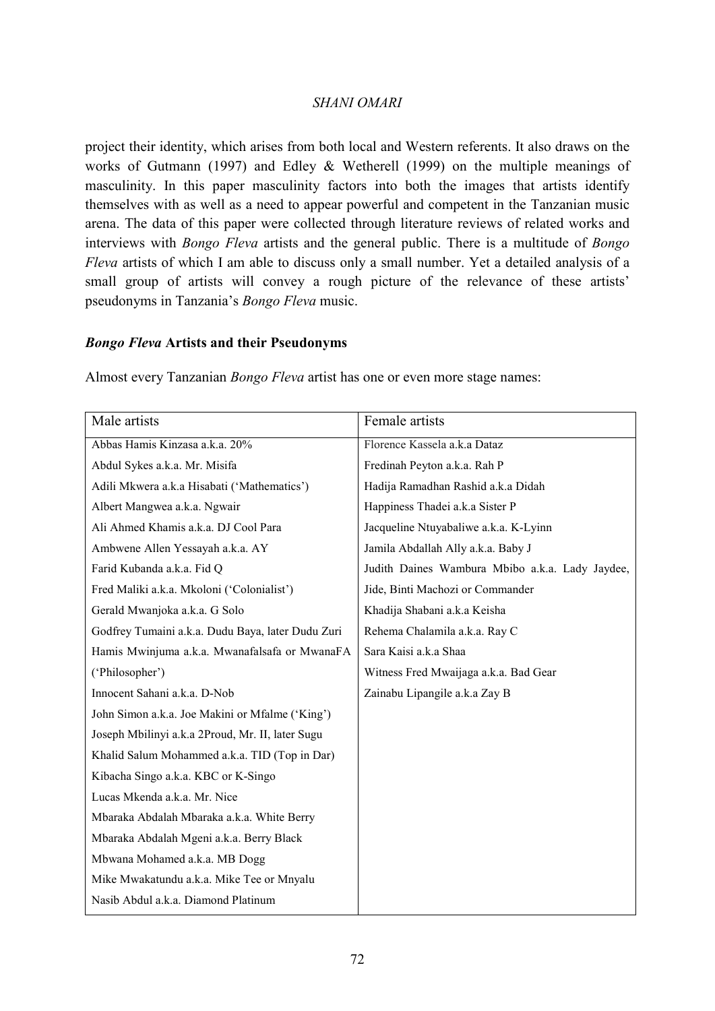project their identity, which arises from both local and Western referents. It also draws on the works of Gutmann (1997) and Edley & Wetherell (1999) on the multiple meanings of masculinity. In this paper masculinity factors into both the images that artists identify themselves with as well as a need to appear powerful and competent in the Tanzanian music arena. The data of this paper were collected through literature reviews of related works and interviews with *Bongo Fleva* artists and the general public. There is a multitude of *Bongo Fleva* artists of which I am able to discuss only a small number. Yet a detailed analysis of a small group of artists will convey a rough picture of the relevance of these artists' pseudonyms in Tanzania's *Bongo Fleva* music.

## *Bongo Fleva* **Artists and their Pseudonyms**

Almost every Tanzanian *Bongo Fleva* artist has one or even more stage names:

| Male artists                                      | Female artists                                  |
|---------------------------------------------------|-------------------------------------------------|
| Abbas Hamis Kinzasa a.k.a. 20%                    | Florence Kassela a.k.a Dataz                    |
| Abdul Sykes a.k.a. Mr. Misifa                     | Fredinah Peyton a.k.a. Rah P                    |
| Adili Mkwera a.k.a Hisabati ('Mathematics')       | Hadija Ramadhan Rashid a.k.a Didah              |
| Albert Mangwea a.k.a. Ngwair                      | Happiness Thadei a.k.a Sister P                 |
| Ali Ahmed Khamis a.k.a. DJ Cool Para              | Jacqueline Ntuyabaliwe a.k.a. K-Lyinn           |
| Ambwene Allen Yessayah a.k.a. AY                  | Jamila Abdallah Ally a.k.a. Baby J              |
| Farid Kubanda a.k.a. Fid Q                        | Judith Daines Wambura Mbibo a.k.a. Lady Jaydee, |
| Fred Maliki a.k.a. Mkoloni ('Colonialist')        | Jide, Binti Machozi or Commander                |
| Gerald Mwanjoka a.k.a. G Solo                     | Khadija Shabani a.k.a Keisha                    |
| Godfrey Tumaini a.k.a. Dudu Baya, later Dudu Zuri | Rehema Chalamila a.k.a. Ray C                   |
| Hamis Mwinjuma a.k.a. Mwanafalsafa or MwanaFA     | Sara Kaisi a.k.a Shaa                           |
| ('Philosopher')                                   | Witness Fred Mwaijaga a.k.a. Bad Gear           |
| Innocent Sahani a.k.a. D-Nob                      | Zainabu Lipangile a.k.a Zay B                   |
| John Simon a.k.a. Joe Makini or Mfalme ('King')   |                                                 |
| Joseph Mbilinyi a.k.a 2Proud, Mr. II, later Sugu  |                                                 |
| Khalid Salum Mohammed a.k.a. TID (Top in Dar)     |                                                 |
| Kibacha Singo a.k.a. KBC or K-Singo               |                                                 |
| Lucas Mkenda a.k.a. Mr. Nice                      |                                                 |
| Mbaraka Abdalah Mbaraka a.k.a. White Berry        |                                                 |
| Mbaraka Abdalah Mgeni a.k.a. Berry Black          |                                                 |
| Mbwana Mohamed a.k.a. MB Dogg                     |                                                 |
| Mike Mwakatundu a.k.a. Mike Tee or Mnyalu         |                                                 |
| Nasib Abdul a.k.a. Diamond Platinum               |                                                 |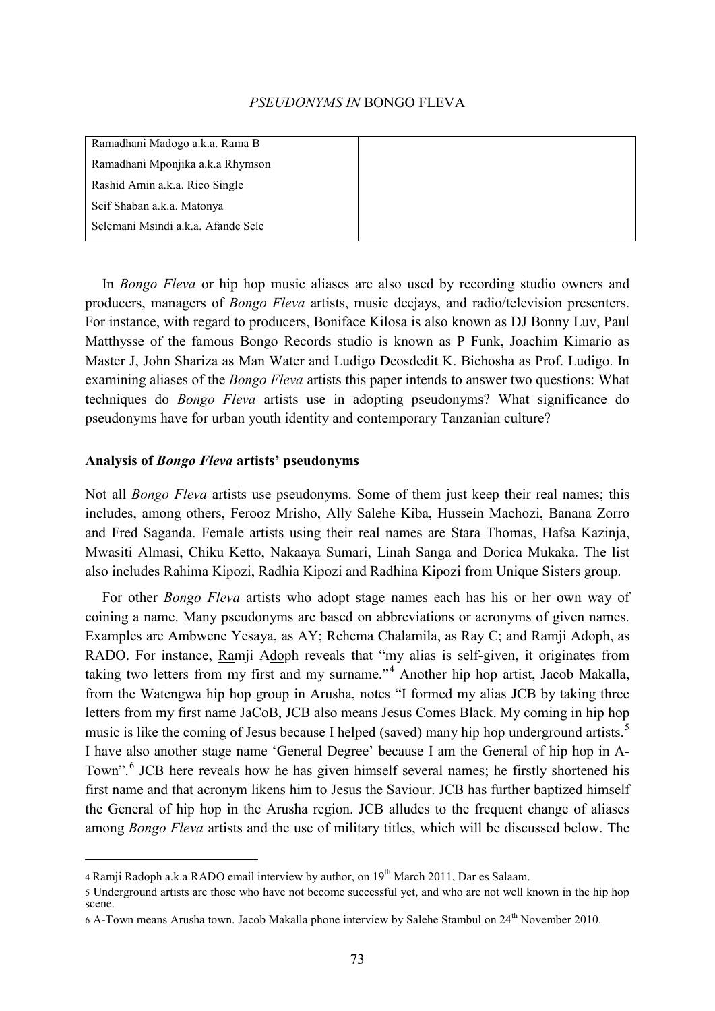Ramadhani Madogo a.k.a. Rama B Ramadhani Mponjika a.k.a Rhymson Rashid Amin a.k.a. Rico Single Seif Shaban a.k.a. Matonya Selemani Msindi a.k.a. Afande Sele

In *Bongo Fleva* or hip hop music aliases are also used by recording studio owners and producers, managers of *Bongo Fleva* artists, music deejays, and radio/television presenters. For instance, with regard to producers, Boniface Kilosa is also known as DJ Bonny Luv, Paul Matthysse of the famous Bongo Records studio is known as P Funk, Joachim Kimario as Master J, John Shariza as Man Water and Ludigo Deosdedit K. Bichosha as Prof. Ludigo. In examining aliases of the *Bongo Fleva* artists this paper intends to answer two questions: What techniques do *Bongo Fleva* artists use in adopting pseudonyms? What significance do pseudonyms have for urban youth identity and contemporary Tanzanian culture?

#### **Analysis of** *Bongo Fleva* **artists' pseudonyms**

-

Not all *Bongo Fleva* artists use pseudonyms. Some of them just keep their real names; this includes, among others, Ferooz Mrisho, Ally Salehe Kiba, Hussein Machozi, Banana Zorro and Fred Saganda. Female artists using their real names are Stara Thomas, Hafsa Kazinja, Mwasiti Almasi, Chiku Ketto, Nakaaya Sumari, Linah Sanga and Dorica Mukaka. The list also includes Rahima Kipozi, Radhia Kipozi and Radhina Kipozi from Unique Sisters group.

For other *Bongo Fleva* artists who adopt stage names each has his or her own way of coining a name. Many pseudonyms are based on abbreviations or acronyms of given names. Examples are Ambwene Yesaya, as AY; Rehema Chalamila, as Ray C; and Ramji Adoph, as RADO. For instance, Ramji Adoph reveals that "my alias is self-given, it originates from taking two letters from my first and my surname."[4](#page-4-0) Another hip hop artist, Jacob Makalla, from the Watengwa hip hop group in Arusha, notes "I formed my alias JCB by taking three letters from my first name JaCoB, JCB also means Jesus Comes Black. My coming in hip hop music is like the coming of Jesus because I helped (saved) many hip hop underground artists.<sup>[5](#page-4-1)</sup> I have also another stage name 'General Degree' because I am the General of hip hop in A-Town".<sup>[6](#page-4-2)</sup> JCB here reveals how he has given himself several names; he firstly shortened his first name and that acronym likens him to Jesus the Saviour. JCB has further baptized himself the General of hip hop in the Arusha region. JCB alludes to the frequent change of aliases among *Bongo Fleva* artists and the use of military titles, which will be discussed below. The

<span id="page-4-0"></span><sup>4</sup> Ramii Radoph a.k.a RADO email interview by author, on  $19<sup>th</sup>$  March 2011, Dar es Salaam.

<span id="page-4-1"></span><sup>5</sup> Underground artists are those who have not become successful yet, and who are not well known in the hip hop scene.

<span id="page-4-2"></span><sup>6</sup> A-Town means Arusha town. Jacob Makalla phone interview by Salehe Stambul on 24th November 2010.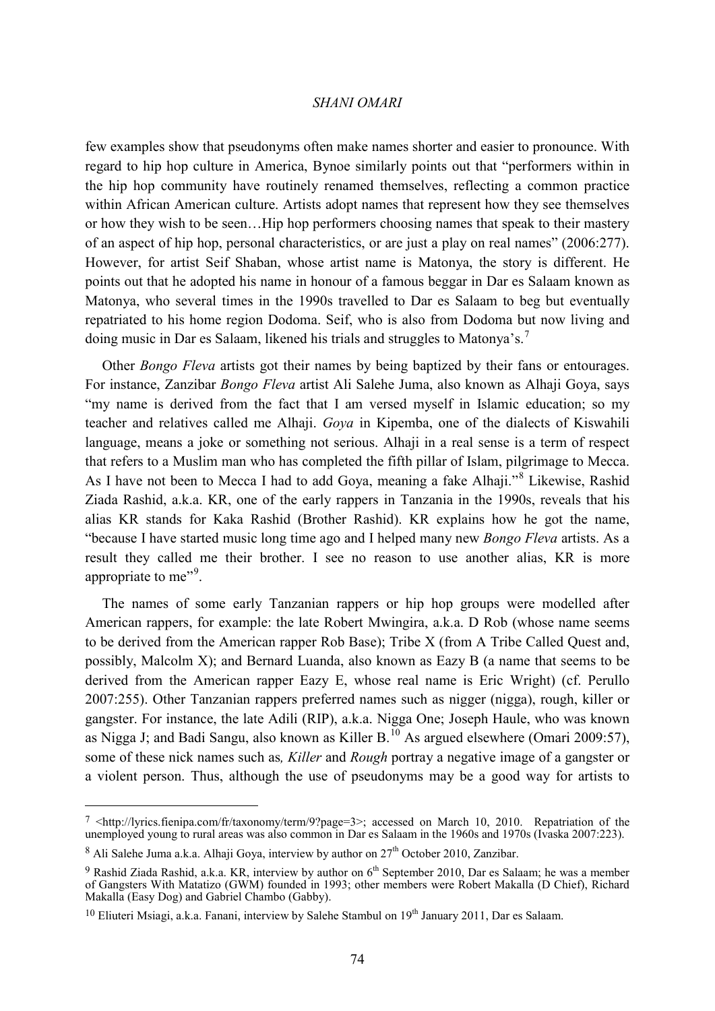few examples show that pseudonyms often make names shorter and easier to pronounce. With regard to hip hop culture in America, Bynoe similarly points out that "performers within in the hip hop community have routinely renamed themselves, reflecting a common practice within African American culture. Artists adopt names that represent how they see themselves or how they wish to be seen…Hip hop performers choosing names that speak to their mastery of an aspect of hip hop, personal characteristics, or are just a play on real names" (2006:277). However, for artist Seif Shaban, whose artist name is Matonya, the story is different. He points out that he adopted his name in honour of a famous beggar in Dar es Salaam known as Matonya, who several times in the 1990s travelled to Dar es Salaam to beg but eventually repatriated to his home region Dodoma. Seif, who is also from Dodoma but now living and doing music in Dar es Salaam, likened his trials and struggles to Matonya's.[7](#page-5-0)

Other *Bongo Fleva* artists got their names by being baptized by their fans or entourages. For instance, Zanzibar *Bongo Fleva* artist Ali Salehe Juma, also known as Alhaji Goya, says "my name is derived from the fact that I am versed myself in Islamic education; so my teacher and relatives called me Alhaji. *Goya* in Kipemba, one of the dialects of Kiswahili language, means a joke or something not serious. Alhaji in a real sense is a term of respect that refers to a Muslim man who has completed the fifth pillar of Islam, pilgrimage to Mecca. As I have not been to Mecca I had to add Goya, meaning a fake Alhaji."<sup>[8](#page-5-1)</sup> Likewise, Rashid Ziada Rashid, a.k.a. KR, one of the early rappers in Tanzania in the 1990s, reveals that his alias KR stands for Kaka Rashid (Brother Rashid). KR explains how he got the name, "because I have started music long time ago and I helped many new *Bongo Fleva* artists. As a result they called me their brother. I see no reason to use another alias, KR is more appropriate to me"<sup>[9](#page-5-2)</sup>.

The names of some early Tanzanian rappers or hip hop groups were modelled after American rappers, for example: the late Robert Mwingira, a.k.a. D Rob (whose name seems to be derived from the American rapper Rob Base); Tribe X (from A Tribe Called Quest and, possibly, Malcolm X); and Bernard Luanda, also known as Eazy B (a name that seems to be derived from the American rapper Eazy E, whose real name is Eric Wright) (cf. Perullo 2007:255). Other Tanzanian rappers preferred names such as nigger (nigga), rough, killer or gangster. For instance, the late Adili (RIP), a.k.a. Nigga One; Joseph Haule, who was known as Nigga J; and Badi Sangu, also known as Killer  $B<sup>10</sup>$  $B<sup>10</sup>$  $B<sup>10</sup>$  As argued elsewhere (Omari 2009:57), some of these nick names such as*, Killer* and *Rough* portray a negative image of a gangster or a violent person. Thus, although the use of pseudonyms may be a good way for artists to

<span id="page-5-0"></span> <sup>7</sup> < [http://lyrics.fienipa.com/fr/taxonomy/term/9?page=3>](http://lyrics.fienipa.com/fr/taxonomy/term/9?page=3); accessed on March 10, 2010. Repatriation of the unemployed young to rural areas was also common in Dar es Salaam in the 1960s and 1970s (Ivaska 2007:223).

<span id="page-5-1"></span> $8$  Ali Salehe Juma a.k.a. Alhaji Goya, interview by author on  $27<sup>th</sup>$  October 2010, Zanzibar.

<span id="page-5-2"></span> $9$  Rashid Ziada Rashid, a.k.a. KR, interview by author on  $6<sup>th</sup>$  September 2010, Dar es Salaam; he was a member of Gangsters With Matatizo (GWM) founded in 1993; other members were Robert Makalla (D Chief), Richard Makalla (Easy Dog) and Gabriel Chambo (Gabby).

<span id="page-5-3"></span> $10$  Eliuteri Msiagi, a.k.a. Fanani, interview by Salehe Stambul on  $19<sup>th</sup>$  January 2011, Dar es Salaam.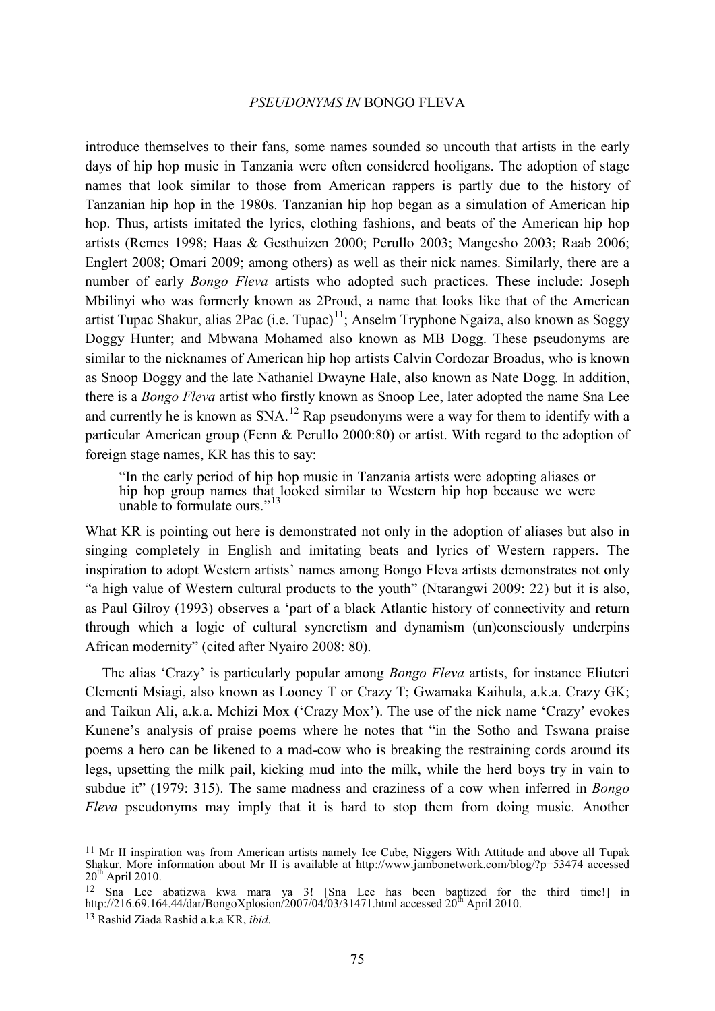introduce themselves to their fans, some names sounded so uncouth that artists in the early days of hip hop music in Tanzania were often considered hooligans. The adoption of stage names that look similar to those from American rappers is partly due to the history of Tanzanian hip hop in the 1980s. Tanzanian hip hop began as a simulation of American hip hop. Thus, artists imitated the lyrics, clothing fashions, and beats of the American hip hop artists (Remes 1998; Haas & Gesthuizen 2000; Perullo 2003; Mangesho 2003; Raab 2006; Englert 2008; Omari 2009; among others) as well as their nick names. Similarly, there are a number of early *Bongo Fleva* artists who adopted such practices. These include: Joseph Mbilinyi who was formerly known as 2Proud, a name that looks like that of the American artist Tupac Shakur, alias 2Pac (i.e. Tupac)<sup>[11](#page-6-0)</sup>; Anselm Tryphone Ngaiza, also known as Soggy Doggy Hunter; and Mbwana Mohamed also known as MB Dogg. These pseudonyms are similar to the nicknames of American hip hop artists Calvin Cordozar Broadus, who is known as Snoop Doggy and the late Nathaniel Dwayne Hale, also known as Nate Dogg. In addition, there is a *Bongo Fleva* artist who firstly known as Snoop Lee, later adopted the name Sna Lee and currently he is known as  $SNA$ .<sup>[12](#page-6-1)</sup> Rap pseudonyms were a way for them to identify with a particular American group (Fenn & Perullo 2000:80) or artist. With regard to the adoption of foreign stage names, KR has this to say:

"In the early period of hip hop music in Tanzania artists were adopting aliases or hip hop group names that looked similar to Western hip hop because we were unable to formulate ours."<sup>[13](#page-6-2)</sup>

What KR is pointing out here is demonstrated not only in the adoption of aliases but also in singing completely in English and imitating beats and lyrics of Western rappers. The inspiration to adopt Western artists' names among Bongo Fleva artists demonstrates not only "a high value of Western cultural products to the youth" (Ntarangwi 2009: 22) but it is also, as Paul Gilroy (1993) observes a 'part of a black Atlantic history of connectivity and return through which a logic of cultural syncretism and dynamism (un)consciously underpins African modernity" (cited after Nyairo 2008: 80).

The alias 'Crazy' is particularly popular among *Bongo Fleva* artists, for instance Eliuteri Clementi Msiagi, also known as Looney T or Crazy T; Gwamaka Kaihula, a.k.a. Crazy GK; and Taikun Ali, a.k.a. Mchizi Mox ('Crazy Mox'). The use of the nick name 'Crazy' evokes Kunene's analysis of praise poems where he notes that "in the Sotho and Tswana praise poems a hero can be likened to a mad-cow who is breaking the restraining cords around its legs, upsetting the milk pail, kicking mud into the milk, while the herd boys try in vain to subdue it" (1979: 315). The same madness and craziness of a cow when inferred in *Bongo Fleva* pseudonyms may imply that it is hard to stop them from doing music. Another

<span id="page-6-0"></span><sup>&</sup>lt;sup>11</sup> Mr II inspiration was from American artists namely Ice Cube, Niggers With Attitude and above all Tupak Shakur. More information about Mr II is available at<http://www.jambonetwork.com/blog/?p=53474> accessed  $20^{th}$  April 2010.

<span id="page-6-1"></span><sup>12</sup> Sna Lee abatizwa kwa mara ya 3! [Sna Lee has been baptized for the third time!] in http://216.69.164.44/dar/BongoXplosion<sup>/</sup>2007/04<sup>/</sup>03/31471.html accessed 20<sup>th</sup> April 2010.

<span id="page-6-2"></span><sup>13</sup> Rashid Ziada Rashid a.k.a KR, *ibid*.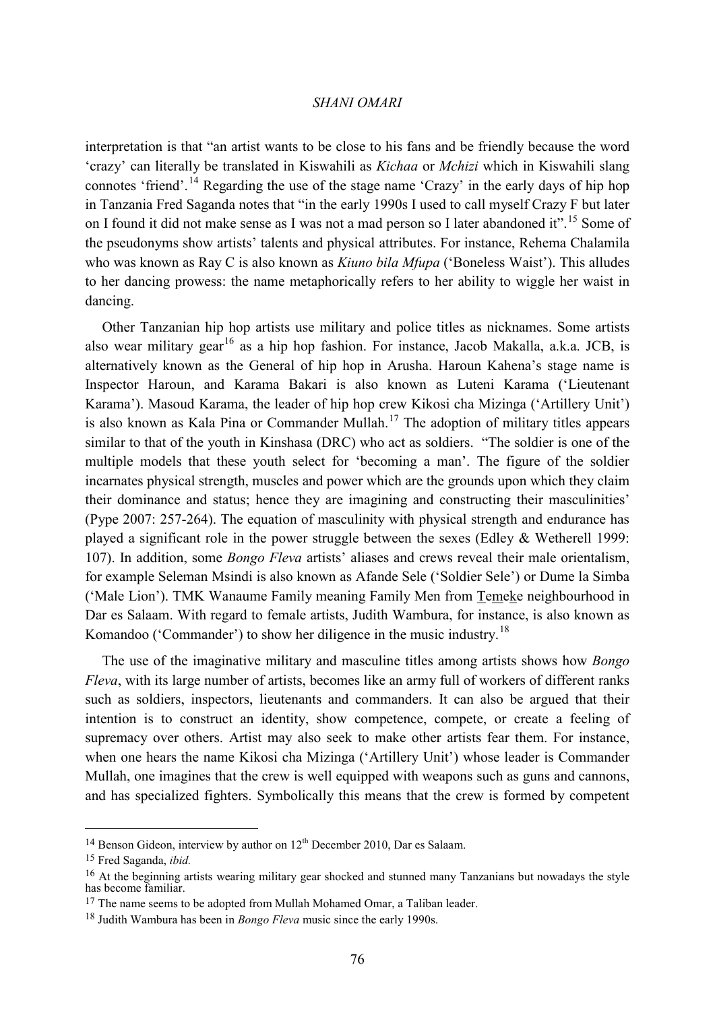interpretation is that "an artist wants to be close to his fans and be friendly because the word 'crazy' can literally be translated in Kiswahili as *Kichaa* or *Mchizi* which in Kiswahili slang connotes 'friend'.<sup>[14](#page-7-0)</sup> Regarding the use of the stage name 'Crazy' in the early days of hip hop in Tanzania Fred Saganda notes that "in the early 1990s I used to call myself Crazy F but later on I found it did not make sense as I was not a mad person so I later abandoned it".<sup>[15](#page-7-1)</sup> Some of the pseudonyms show artists' talents and physical attributes. For instance, Rehema Chalamila who was known as Ray C is also known as *Kiuno bila Mfupa* ('Boneless Waist'). This alludes to her dancing prowess: the name metaphorically refers to her ability to wiggle her waist in dancing.

Other Tanzanian hip hop artists use military and police titles as nicknames. Some artists also wear military gear<sup>[16](#page-7-2)</sup> as a hip hop fashion. For instance, Jacob Makalla, a.k.a. JCB, is alternatively known as the General of hip hop in Arusha. Haroun Kahena's stage name is Inspector Haroun, and Karama Bakari is also known as Luteni Karama ('Lieutenant Karama'). Masoud Karama, the leader of hip hop crew Kikosi cha Mizinga ('Artillery Unit') is also known as Kala Pina or Commander Mullah.<sup>[17](#page-7-3)</sup> The adoption of military titles appears similar to that of the youth in Kinshasa (DRC) who act as soldiers. "The soldier is one of the multiple models that these youth select for 'becoming a man'. The figure of the soldier incarnates physical strength, muscles and power which are the grounds upon which they claim their dominance and status; hence they are imagining and constructing their masculinities' (Pype 2007: 257-264). The equation of masculinity with physical strength and endurance has played a significant role in the power struggle between the sexes (Edley & Wetherell 1999: 107). In addition, some *Bongo Fleva* artists' aliases and crews reveal their male orientalism, for example Seleman Msindi is also known as Afande Sele ('Soldier Sele') or Dume la Simba ('Male Lion'). TMK Wanaume Family meaning Family Men from Temeke neighbourhood in Dar es Salaam. With regard to female artists, Judith Wambura, for instance, is also known as Komandoo ('Commander') to show her diligence in the music industry.<sup>[18](#page-7-4)</sup>

The use of the imaginative military and masculine titles among artists shows how *Bongo Fleva*, with its large number of artists, becomes like an army full of workers of different ranks such as soldiers, inspectors, lieutenants and commanders. It can also be argued that their intention is to construct an identity, show competence, compete, or create a feeling of supremacy over others. Artist may also seek to make other artists fear them. For instance, when one hears the name Kikosi cha Mizinga ('Artillery Unit') whose leader is Commander Mullah, one imagines that the crew is well equipped with weapons such as guns and cannons, and has specialized fighters. Symbolically this means that the crew is formed by competent

<span id="page-7-0"></span> $14$  Benson Gideon, interview by author on  $12^{th}$  December 2010, Dar es Salaam.

<span id="page-7-1"></span><sup>15</sup> Fred Saganda, *ibid.*

<span id="page-7-2"></span><sup>&</sup>lt;sup>16</sup> At the beginning artists wearing military gear shocked and stunned many Tanzanians but nowadays the style has become familiar.

<span id="page-7-3"></span><sup>&</sup>lt;sup>17</sup> The name seems to be adopted from Mullah Mohamed Omar, a Taliban leader.

<span id="page-7-4"></span><sup>18</sup> Judith Wambura has been in *Bongo Fleva* music since the early 1990s.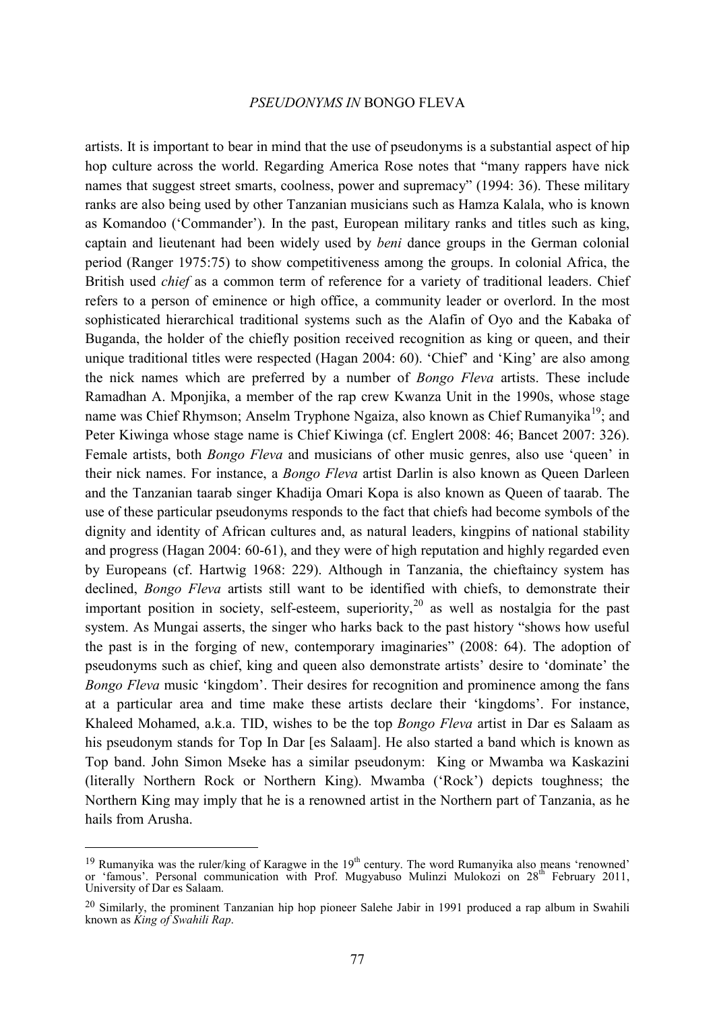artists. It is important to bear in mind that the use of pseudonyms is a substantial aspect of hip hop culture across the world. Regarding America Rose notes that "many rappers have nick names that suggest street smarts, coolness, power and supremacy" (1994: 36). These military ranks are also being used by other Tanzanian musicians such as Hamza Kalala, who is known as Komandoo ('Commander'). In the past, European military ranks and titles such as king, captain and lieutenant had been widely used by *beni* dance groups in the German colonial period (Ranger 1975:75) to show competitiveness among the groups. In colonial Africa, the British used *chief* as a common term of reference for a variety of traditional leaders. Chief refers to a person of eminence or high office, a community leader or overlord. In the most sophisticated hierarchical traditional systems such as the Alafin of Oyo and the Kabaka of Buganda, the holder of the chiefly position received recognition as king or queen, and their unique traditional titles were respected (Hagan 2004: 60). 'Chief' and 'King' are also among the nick names which are preferred by a number of *Bongo Fleva* artists. These include Ramadhan A. Mponjika, a member of the rap crew Kwanza Unit in the 1990s, whose stage name was Chief Rhymson; Anselm Tryphone Ngaiza, also known as Chief Rumanyika<sup>19</sup>; and Peter Kiwinga whose stage name is Chief Kiwinga (cf. Englert 2008: 46; Bancet 2007: 326). Female artists, both *Bongo Fleva* and musicians of other music genres, also use 'queen' in their nick names. For instance, a *Bongo Fleva* artist Darlin is also known as Queen Darleen and the Tanzanian taarab singer Khadija Omari Kopa is also known as Queen of taarab. The use of these particular pseudonyms responds to the fact that chiefs had become symbols of the dignity and identity of African cultures and, as natural leaders, kingpins of national stability and progress (Hagan 2004: 60-61), and they were of high reputation and highly regarded even by Europeans (cf. Hartwig 1968: 229). Although in Tanzania, the chieftaincy system has declined, *Bongo Fleva* artists still want to be identified with chiefs, to demonstrate their important position in society, self-esteem, superiority,<sup>[20](#page-8-1)</sup> as well as nostalgia for the past system. As Mungai asserts, the singer who harks back to the past history "shows how useful the past is in the forging of new, contemporary imaginaries" (2008: 64). The adoption of pseudonyms such as chief, king and queen also demonstrate artists' desire to 'dominate' the *Bongo Fleva* music 'kingdom'. Their desires for recognition and prominence among the fans at a particular area and time make these artists declare their 'kingdoms'. For instance, Khaleed Mohamed, a.k.a. TID, wishes to be the top *Bongo Fleva* artist in Dar es Salaam as his pseudonym stands for Top In Dar [es Salaam]. He also started a band which is known as Top band. John Simon Mseke has a similar pseudonym: King or Mwamba wa Kaskazini (literally Northern Rock or Northern King). Mwamba ('Rock') depicts toughness; the Northern King may imply that he is a renowned artist in the Northern part of Tanzania, as he hails from Arusha.

<span id="page-8-0"></span> $19$  Rumanyika was the ruler/king of Karagwe in the  $19<sup>th</sup>$  century. The word Rumanyika also means 'renowned' or 'famous'. Personal communication with Prof. Mugyabuso Mulinzi Mulokozi on 28<sup>th</sup> February 2011, University of Dar es Salaam.

<span id="page-8-1"></span><sup>&</sup>lt;sup>20</sup> Similarly, the prominent Tanzanian hip hop pioneer Salehe Jabir in 1991 produced a rap album in Swahili known as *King of Swahili Rap*.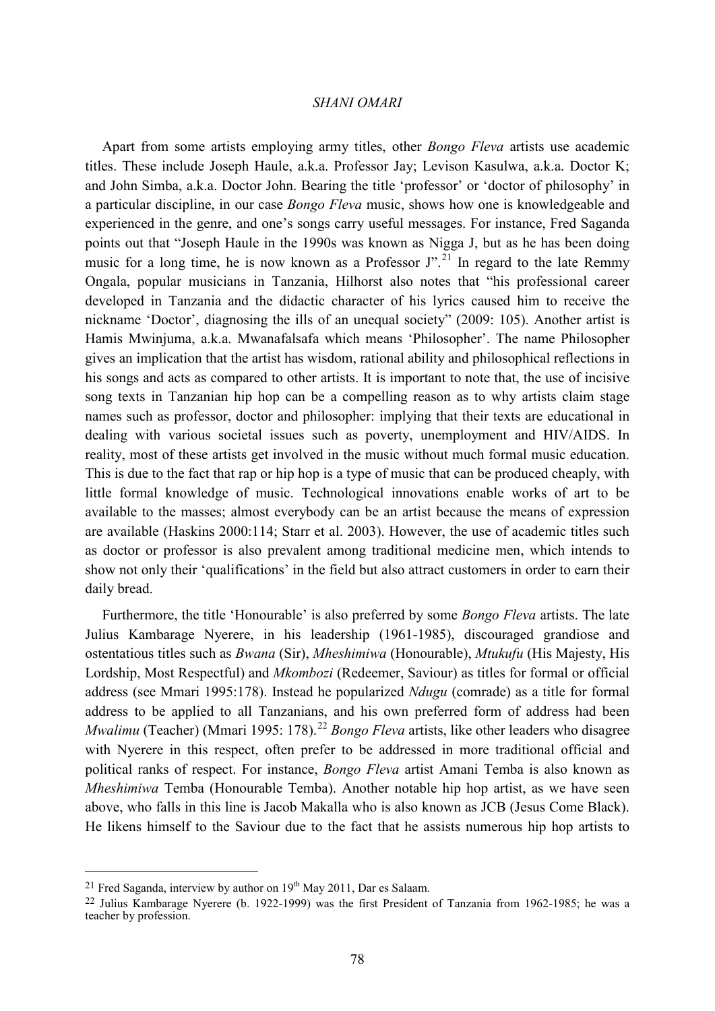Apart from some artists employing army titles, other *Bongo Fleva* artists use academic titles. These include Joseph Haule, a.k.a. Professor Jay; Levison Kasulwa, a.k.a. Doctor K; and John Simba, a.k.a. Doctor John. Bearing the title 'professor' or 'doctor of philosophy' in a particular discipline, in our case *Bongo Fleva* music, shows how one is knowledgeable and experienced in the genre, and one's songs carry useful messages. For instance, Fred Saganda points out that "Joseph Haule in the 1990s was known as Nigga J, but as he has been doing music for a long time, he is now known as a Professor  $J^{\prime,21}$  $J^{\prime,21}$  $J^{\prime,21}$  In regard to the late Remmy Ongala, popular musicians in Tanzania, Hilhorst also notes that "his professional career developed in Tanzania and the didactic character of his lyrics caused him to receive the nickname 'Doctor', diagnosing the ills of an unequal society" (2009: 105). Another artist is Hamis Mwinjuma, a.k.a. Mwanafalsafa which means 'Philosopher'. The name Philosopher gives an implication that the artist has wisdom, rational ability and philosophical reflections in his songs and acts as compared to other artists. It is important to note that, the use of incisive song texts in Tanzanian hip hop can be a compelling reason as to why artists claim stage names such as professor, doctor and philosopher: implying that their texts are educational in dealing with various societal issues such as poverty, unemployment and HIV/AIDS. In reality, most of these artists get involved in the music without much formal music education. This is due to the fact that rap or hip hop is a type of music that can be produced cheaply, with little formal knowledge of music. Technological innovations enable works of art to be available to the masses; almost everybody can be an artist because the means of expression are available (Haskins 2000:114; Starr et al. 2003). However, the use of academic titles such as doctor or professor is also prevalent among traditional medicine men, which intends to show not only their 'qualifications' in the field but also attract customers in order to earn their daily bread.

Furthermore, the title 'Honourable' is also preferred by some *Bongo Fleva* artists. The late Julius Kambarage Nyerere, in his leadership (1961-1985), discouraged grandiose and ostentatious titles such as *Bwana* (Sir), *Mheshimiwa* (Honourable), *Mtukufu* (His Majesty, His Lordship, Most Respectful) and *Mkombozi* (Redeemer, Saviour) as titles for formal or official address (see Mmari 1995:178). Instead he popularized *Ndugu* (comrade) as a title for formal address to be applied to all Tanzanians, and his own preferred form of address had been *Mwalimu* (Teacher) (Mmari 1995: 178).<sup>[22](#page-9-1)</sup> Bongo Fleva artists, like other leaders who disagree with Nyerere in this respect, often prefer to be addressed in more traditional official and political ranks of respect. For instance, *Bongo Fleva* artist Amani Temba is also known as *Mheshimiwa* Temba (Honourable Temba). Another notable hip hop artist, as we have seen above, who falls in this line is Jacob Makalla who is also known as JCB (Jesus Come Black). He likens himself to the Saviour due to the fact that he assists numerous hip hop artists to

<span id="page-9-0"></span><sup>&</sup>lt;sup>21</sup> Fred Saganda, interview by author on  $19<sup>th</sup>$  May 2011, Dar es Salaam.

<span id="page-9-1"></span><sup>22</sup> Julius Kambarage Nyerere (b. 1922-1999) was the first President of Tanzania from 1962-1985; he was a teacher by profession.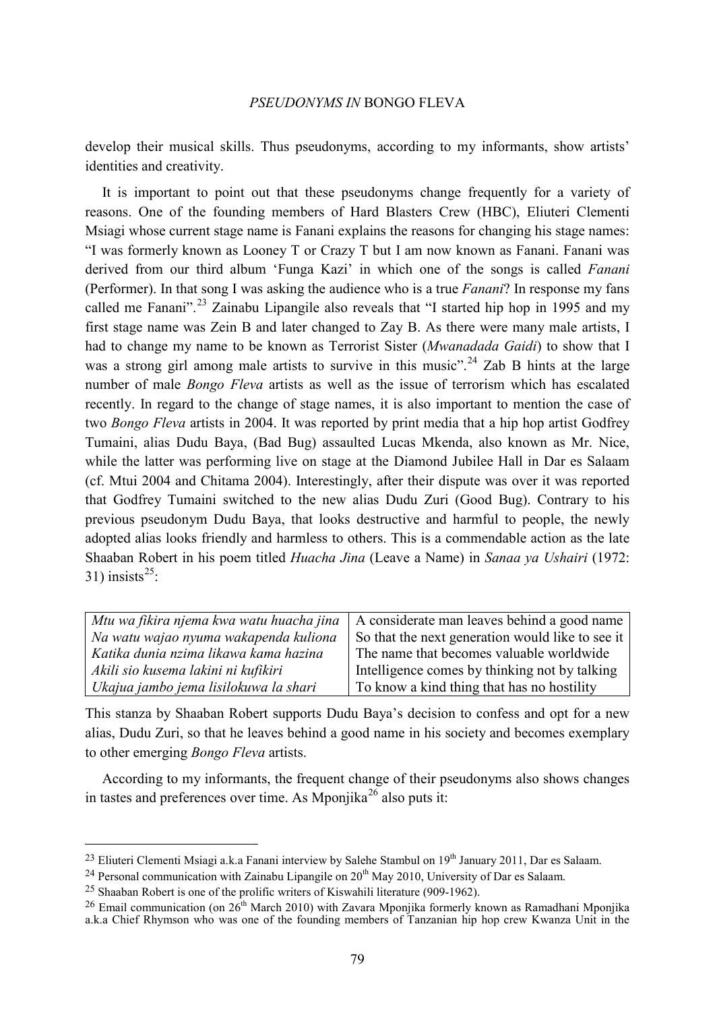develop their musical skills. Thus pseudonyms, according to my informants, show artists' identities and creativity.

It is important to point out that these pseudonyms change frequently for a variety of reasons. One of the founding members of Hard Blasters Crew (HBC), Eliuteri Clementi Msiagi whose current stage name is Fanani explains the reasons for changing his stage names: "I was formerly known as Looney T or Crazy T but I am now known as Fanani. Fanani was derived from our third album 'Funga Kazi' in which one of the songs is called *Fanani*  (Performer). In that song I was asking the audience who is a true *Fanani*? In response my fans called me Fanani".<sup>[23](#page-10-0)</sup> Zainabu Lipangile also reveals that "I started hip hop in 1995 and my first stage name was Zein B and later changed to Zay B. As there were many male artists, I had to change my name to be known as Terrorist Sister (*Mwanadada Gaidi*) to show that I was a strong girl among male artists to survive in this music".<sup>[24](#page-10-1)</sup> Zab B hints at the large number of male *Bongo Fleva* artists as well as the issue of terrorism which has escalated recently. In regard to the change of stage names, it is also important to mention the case of two *Bongo Fleva* artists in 2004. It was reported by print media that a hip hop artist Godfrey Tumaini, alias Dudu Baya, (Bad Bug) assaulted Lucas Mkenda, also known as Mr. Nice, while the latter was performing live on stage at the Diamond Jubilee Hall in Dar es Salaam (cf. Mtui 2004 and Chitama 2004). Interestingly, after their dispute was over it was reported that Godfrey Tumaini switched to the new alias Dudu Zuri (Good Bug). Contrary to his previous pseudonym Dudu Baya, that looks destructive and harmful to people, the newly adopted alias looks friendly and harmless to others. This is a commendable action as the late Shaaban Robert in his poem titled *Huacha Jina* (Leave a Name) in *Sanaa ya Ushairi* (1972: 31) insists $^{25}$ :

| Mtu wa fikira njema kwa watu huacha jina | A considerate man leaves behind a good name      |
|------------------------------------------|--------------------------------------------------|
| Na watu wajao nyuma wakapenda kuliona    | So that the next generation would like to see it |
| Katika dunia nzima likawa kama hazina    | The name that becomes valuable worldwide         |
| Akili sio kusema lakini ni kufikiri      | Intelligence comes by thinking not by talking    |
| Ukajua jambo jema lisilokuwa la shari    | To know a kind thing that has no hostility       |

This stanza by Shaaban Robert supports Dudu Baya's decision to confess and opt for a new alias, Dudu Zuri, so that he leaves behind a good name in his society and becomes exemplary to other emerging *Bongo Fleva* artists.

According to my informants, the frequent change of their pseudonyms also shows changes in tastes and preferences over time. As Mponjika<sup>[26](#page-10-3)</sup> also puts it:

<span id="page-10-0"></span><sup>&</sup>lt;sup>23</sup> Eliuteri Clementi Msiagi a.k.a Fanani interview by Salehe Stambul on 19<sup>th</sup> January 2011, Dar es Salaam.

<span id="page-10-1"></span><sup>&</sup>lt;sup>24</sup> Personal communication with Zainabu Lipangile on  $20<sup>th</sup>$  May 2010, University of Dar es Salaam.

<span id="page-10-2"></span><sup>25</sup> Shaaban Robert is one of the prolific writers of Kiswahili literature (909-1962).

<span id="page-10-3"></span><sup>&</sup>lt;sup>26</sup> Email communication (on  $26<sup>th</sup>$  March 2010) with Zavara Mponjika formerly known as Ramadhani Mponjika a.k.a Chief Rhymson who was one of the founding members of Tanzanian hip hop crew Kwanza Unit in the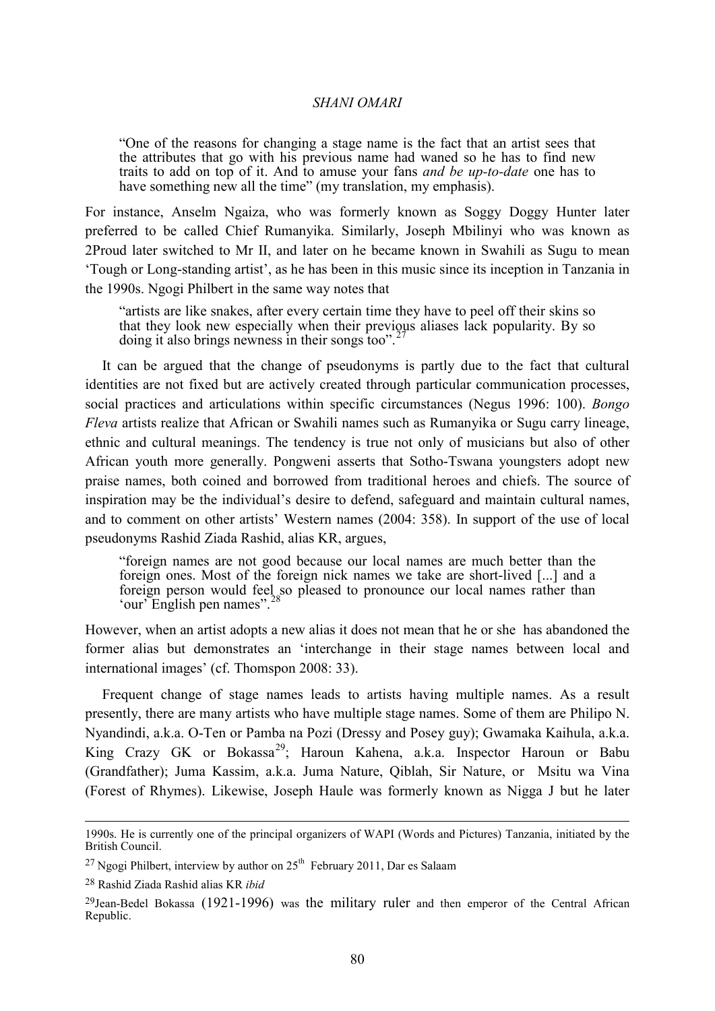"One of the reasons for changing a stage name is the fact that an artist sees that the attributes that go with his previous name had waned so he has to find new traits to add on top of it. And to amuse your fans *and be up-to-date* one has to have something new all the time" (my translation, my emphasis).

For instance, Anselm Ngaiza, who was formerly known as Soggy Doggy Hunter later preferred to be called Chief Rumanyika. Similarly, Joseph Mbilinyi who was known as 2Proud later switched to Mr II, and later on he became known in Swahili as Sugu to mean 'Tough or Long-standing artist', as he has been in this music since its inception in Tanzania in the 1990s. Ngogi Philbert in the same way notes that

"artists are like snakes, after every certain time they have to peel off their skins so that they look new especially when their previous aliases lack popularity. By so doing it also brings newness in their songs too".<sup>2</sup>

It can be argued that the change of pseudonyms is partly due to the fact that cultural identities are not fixed but are actively created through particular communication processes, social practices and articulations within specific circumstances (Negus 1996: 100). *Bongo Fleva* artists realize that African or Swahili names such as Rumanyika or Sugu carry lineage, ethnic and cultural meanings. The tendency is true not only of musicians but also of other African youth more generally. Pongweni asserts that Sotho-Tswana youngsters adopt new praise names, both coined and borrowed from traditional heroes and chiefs. The source of inspiration may be the individual's desire to defend, safeguard and maintain cultural names, and to comment on other artists' Western names (2004: 358). In support of the use of local pseudonyms Rashid Ziada Rashid, alias KR, argues,

"foreign names are not good because our local names are much better than the foreign ones. Most of the foreign nick names we take are short-lived [...] and a foreign person would feel so pleased to pronounce our local names rather than 'our' English pen names".<sup>[28](#page-11-1)</sup>

However, when an artist adopts a new alias it does not mean that he or she has abandoned the former alias but demonstrates an 'interchange in their stage names between local and international images' (cf. Thomspon 2008: 33).

Frequent change of stage names leads to artists having multiple names. As a result presently, there are many artists who have multiple stage names. Some of them are Philipo N. Nyandindi, a.k.a. O-Ten or Pamba na Pozi (Dressy and Posey guy); Gwamaka Kaihula, a.k.a. King Crazy GK or Bokassa<sup>[29](#page-11-2)</sup>; Haroun Kahena, a.k.a. Inspector Haroun or Babu (Grandfather); Juma Kassim, a.k.a. Juma Nature, Qiblah, Sir Nature, or Msitu wa Vina (Forest of Rhymes). Likewise, Joseph Haule was formerly known as Nigga J but he later

 <sup>1990</sup>s. He is currently one of the principal organizers of WAPI (Words and Pictures) Tanzania, initiated by the British Council.

<span id="page-11-0"></span><sup>&</sup>lt;sup>27</sup> Ngogi Philbert, interview by author on  $25<sup>th</sup>$  February 2011, Dar es Salaam

<span id="page-11-1"></span><sup>28</sup> Rashid Ziada Rashid alias KR *ibid*

<span id="page-11-2"></span><sup>29</sup>Jean-Bedel Bokassa (1921-1996) was the military ruler and then emperor of the Central African Republic.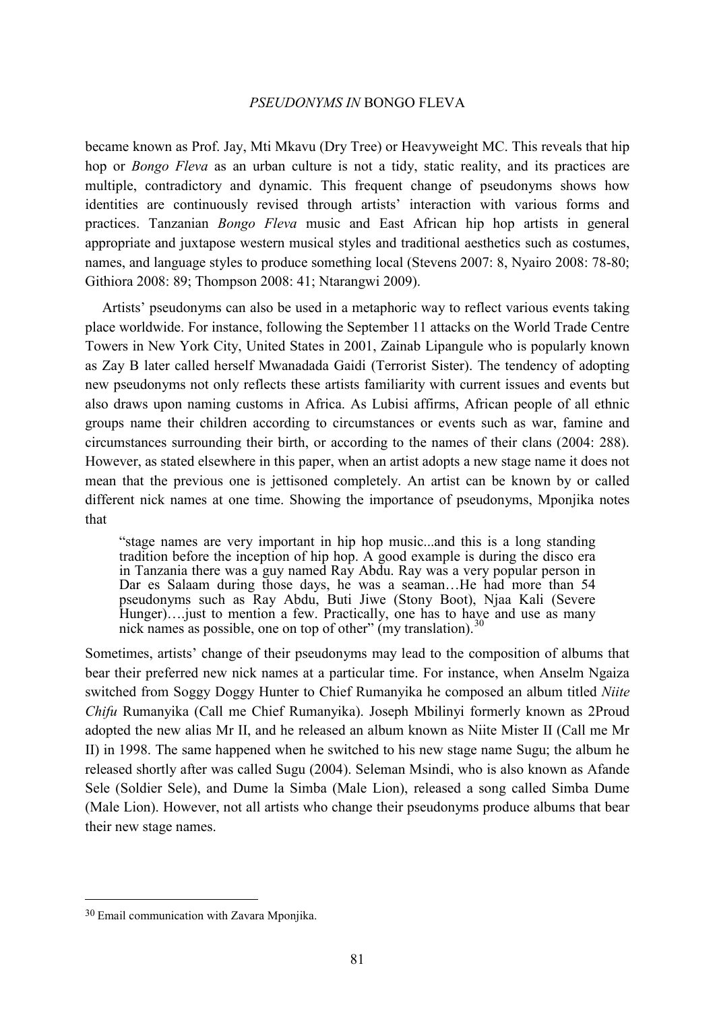became known as Prof. Jay, Mti Mkavu (Dry Tree) or Heavyweight MC. This reveals that hip hop or *Bongo Fleva* as an urban culture is not a tidy, static reality, and its practices are multiple, contradictory and dynamic. This frequent change of pseudonyms shows how identities are continuously revised through artists' interaction with various forms and practices. Tanzanian *Bongo Fleva* music and East African hip hop artists in general appropriate and juxtapose western musical styles and traditional aesthetics such as costumes, names, and language styles to produce something local (Stevens 2007: 8, Nyairo 2008: 78-80; Githiora 2008: 89; Thompson 2008: 41; Ntarangwi 2009).

Artists' pseudonyms can also be used in a metaphoric way to reflect various events taking place worldwide. For instance, following the September 11 attacks on the World Trade Centre Towers in New York City, United States in 2001, Zainab Lipangule who is popularly known as Zay B later called herself Mwanadada Gaidi (Terrorist Sister). The tendency of adopting new pseudonyms not only reflects these artists familiarity with current issues and events but also draws upon naming customs in Africa. As Lubisi affirms, African people of all ethnic groups name their children according to circumstances or events such as war, famine and circumstances surrounding their birth, or according to the names of their clans (2004: 288). However, as stated elsewhere in this paper, when an artist adopts a new stage name it does not mean that the previous one is jettisoned completely. An artist can be known by or called different nick names at one time. Showing the importance of pseudonyms, Mponjika notes that

"stage names are very important in hip hop music...and this is a long standing tradition before the inception of hip hop. A good example is during the disco era in Tanzania there was a guy named Ray Abdu. Ray was a very popular person in Dar es Salaam during those days, he was a seaman…He had more than 54 pseudonyms such as Ray Abdu, Buti Jiwe (Stony Boot), Njaa Kali (Severe Hunger)....just to mention a few. Practically, one has to have and use as many nick names as possible, one on top of other"  $(my$  translation)  $30$ nick names as possible, one on top of other" (my translation).

Sometimes, artists' change of their pseudonyms may lead to the composition of albums that bear their preferred new nick names at a particular time. For instance, when Anselm Ngaiza switched from Soggy Doggy Hunter to Chief Rumanyika he composed an album titled *Niite Chifu* Rumanyika (Call me Chief Rumanyika). Joseph Mbilinyi formerly known as 2Proud adopted the new alias Mr II, and he released an album known as Niite Mister II (Call me Mr II) in 1998. The same happened when he switched to his new stage name Sugu; the album he released shortly after was called Sugu (2004). Seleman Msindi, who is also known as Afande Sele (Soldier Sele), and Dume la Simba (Male Lion), released a song called Simba Dume (Male Lion). However, not all artists who change their pseudonyms produce albums that bear their new stage names.

<span id="page-12-0"></span> <sup>30</sup> Email communication with Zavara Mponjika.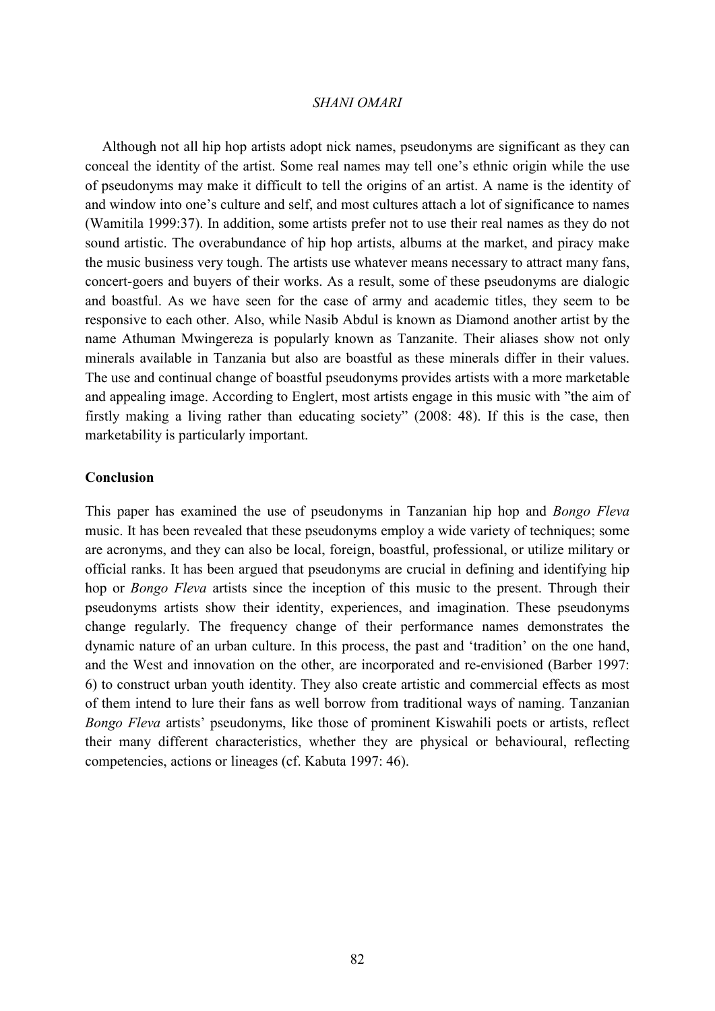Although not all hip hop artists adopt nick names, pseudonyms are significant as they can conceal the identity of the artist. Some real names may tell one's ethnic origin while the use of pseudonyms may make it difficult to tell the origins of an artist. A name is the identity of and window into one's culture and self, and most cultures attach a lot of significance to names (Wamitila 1999:37). In addition, some artists prefer not to use their real names as they do not sound artistic. The overabundance of hip hop artists, albums at the market, and piracy make the music business very tough. The artists use whatever means necessary to attract many fans, concert-goers and buyers of their works. As a result, some of these pseudonyms are dialogic and boastful. As we have seen for the case of army and academic titles, they seem to be responsive to each other. Also, while Nasib Abdul is known as Diamond another artist by the name Athuman Mwingereza is popularly known as Tanzanite. Their aliases show not only minerals available in Tanzania but also are boastful as these minerals differ in their values. The use and continual change of boastful pseudonyms provides artists with a more marketable and appealing image. According to Englert, most artists engage in this music with "the aim of firstly making a living rather than educating society" (2008: 48). If this is the case, then marketability is particularly important.

#### **Conclusion**

This paper has examined the use of pseudonyms in Tanzanian hip hop and *Bongo Fleva* music. It has been revealed that these pseudonyms employ a wide variety of techniques; some are acronyms, and they can also be local, foreign, boastful, professional, or utilize military or official ranks. It has been argued that pseudonyms are crucial in defining and identifying hip hop or *Bongo Fleva* artists since the inception of this music to the present. Through their pseudonyms artists show their identity, experiences, and imagination. These pseudonyms change regularly. The frequency change of their performance names demonstrates the dynamic nature of an urban culture. In this process, the past and 'tradition' on the one hand, and the West and innovation on the other, are incorporated and re-envisioned (Barber 1997: 6) to construct urban youth identity. They also create artistic and commercial effects as most of them intend to lure their fans as well borrow from traditional ways of naming. Tanzanian *Bongo Fleva* artists' pseudonyms, like those of prominent Kiswahili poets or artists, reflect their many different characteristics, whether they are physical or behavioural, reflecting competencies, actions or lineages (cf. Kabuta 1997: 46).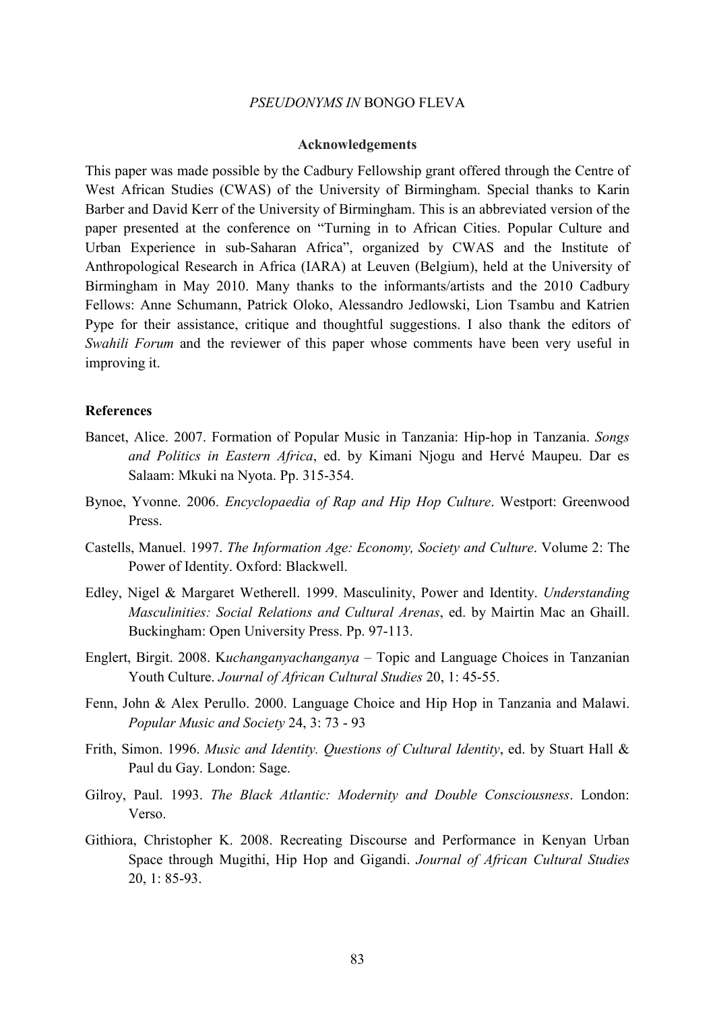#### **Acknowledgements**

This paper was made possible by the Cadbury Fellowship grant offered through the Centre of West African Studies (CWAS) of the University of Birmingham. Special thanks to Karin Barber and David Kerr of the University of Birmingham. This is an abbreviated version of the paper presented at the conference on "Turning in to African Cities. Popular Culture and Urban Experience in sub-Saharan Africa", organized by CWAS and the Institute of Anthropological Research in Africa (IARA) at Leuven (Belgium), held at the University of Birmingham in May 2010. Many thanks to the informants/artists and the 2010 Cadbury Fellows: Anne Schumann, Patrick Oloko, Alessandro Jedlowski, Lion Tsambu and Katrien Pype for their assistance, critique and thoughtful suggestions. I also thank the editors of *Swahili Forum* and the reviewer of this paper whose comments have been very useful in improving it.

#### **References**

- Bancet, Alice. 2007. Formation of Popular Music in Tanzania: Hip-hop in Tanzania. *Songs and Politics in Eastern Africa*, ed. by Kimani Njogu and Hervé Maupeu. Dar es Salaam: Mkuki na Nyota. Pp. 315-354.
- Bynoe, Yvonne. 2006. *Encyclopaedia of Rap and Hip Hop Culture*. Westport: Greenwood Press.
- Castells, Manuel. 1997. *The Information Age: Economy, Society and Culture*. Volume 2: The Power of Identity. Oxford: Blackwell.
- Edley, Nigel & Margaret Wetherell. 1999. Masculinity, Power and Identity. *Understanding Masculinities: Social Relations and Cultural Arenas*, ed. by Mairtin Mac an Ghaill. Buckingham: Open University Press. Pp. 97-113.
- Englert, Birgit. 2008. K*uchanganyachanganya* Topic and Language Choices in Tanzanian Youth Culture. *Journal of African Cultural Studies* 20, 1: 45-55.
- Fenn, John & Alex Perullo. 2000. Language Choice and Hip Hop in Tanzania and Malawi. *Popular Music and Society* 24, 3: 73 - 93
- Frith, Simon. 1996. *Music and Identity. Questions of Cultural Identity*, ed. by Stuart Hall & Paul du Gay. London: Sage.
- Gilroy, Paul. 1993. *The Black Atlantic: Modernity and Double Consciousness*. London: Verso.
- Githiora, Christopher K. 2008. Recreating Discourse and Performance in Kenyan Urban Space through Mugithi, Hip Hop and Gigandi. *Journal of African Cultural Studies* 20, 1: 85-93.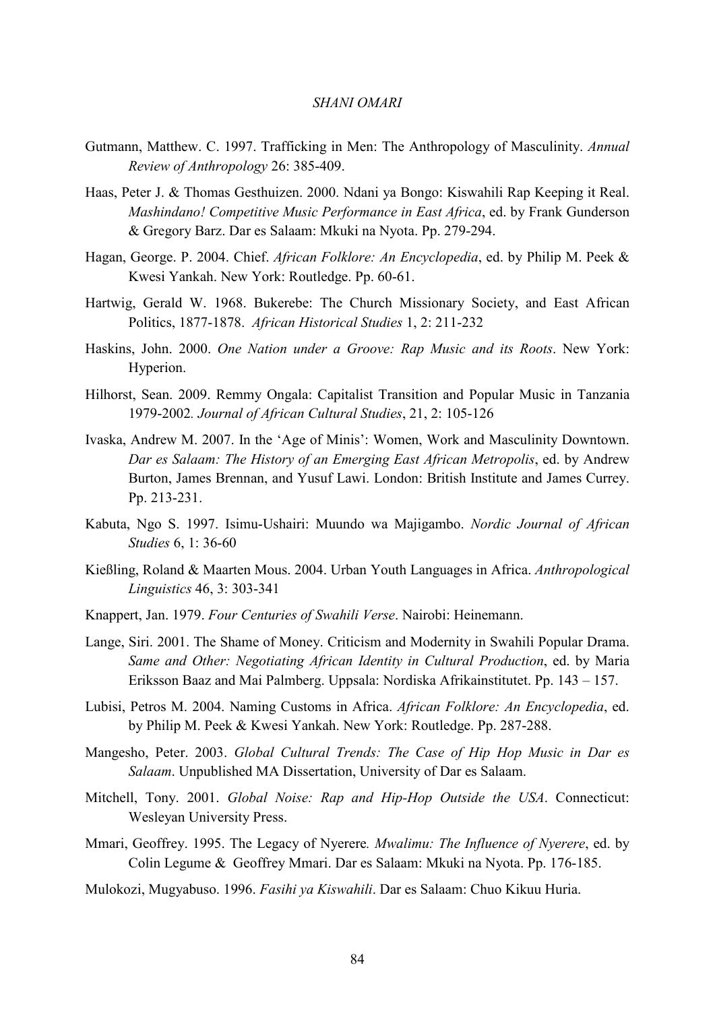- Gutmann, Matthew. C. 1997. Trafficking in Men: The Anthropology of Masculinity. *Annual Review of Anthropology* 26: 385-409.
- Haas, Peter J. & Thomas Gesthuizen. 2000. Ndani ya Bongo: Kiswahili Rap Keeping it Real. *Mashindano! Competitive Music Performance in East Africa*, ed. by Frank Gunderson & Gregory Barz. Dar es Salaam: Mkuki na Nyota. Pp. 279-294.
- Hagan, George. P. 2004. Chief. *African Folklore: An Encyclopedia*, ed. by Philip M. Peek & Kwesi Yankah. New York: Routledge. Pp. 60-61.
- Hartwig, Gerald W. 1968. Bukerebe: The Church Missionary Society, and East African Politics, 1877-1878. *African Historical Studies* 1, 2: 211-232
- Haskins, John. 2000. *One Nation under a Groove: Rap Music and its Roots*. New York: Hyperion.
- Hilhorst, Sean. 2009. Remmy Ongala: Capitalist Transition and Popular Music in Tanzania 1979-2002*. Journal of African Cultural Studies*, 21, 2: 105-126
- Ivaska, Andrew M. 2007. In the 'Age of Minis': Women, Work and Masculinity Downtown. *Dar es Salaam: The History of an Emerging East African Metropolis*, ed. by Andrew Burton, James Brennan, and Yusuf Lawi. London: British Institute and James Currey. Pp. 213-231.
- Kabuta, Ngo S. 1997. Isimu-Ushairi: Muundo wa Majigambo. *Nordic Journal of African Studies* 6, 1: 36-60
- Kießling, Roland & Maarten Mous. 2004. Urban Youth Languages in Africa. *Anthropological Linguistics* 46, 3: 303-341
- Knappert, Jan. 1979. *Four Centuries of Swahili Verse*. Nairobi: Heinemann.
- Lange, Siri. 2001. The Shame of Money. Criticism and Modernity in Swahili Popular Drama. *Same and Other: Negotiating African Identity in Cultural Production*, ed. by Maria Eriksson Baaz and Mai Palmberg. Uppsala: Nordiska Afrikainstitutet. Pp. 143 – 157.
- Lubisi, Petros M. 2004. Naming Customs in Africa. *African Folklore: An Encyclopedia*, ed. by Philip M. Peek & Kwesi Yankah. New York: Routledge. Pp. 287-288.
- Mangesho, Peter. 2003. *Global Cultural Trends: The Case of Hip Hop Music in Dar es Salaam*. Unpublished MA Dissertation, University of Dar es Salaam.
- Mitchell, Tony. 2001. *Global Noise: Rap and Hip-Hop Outside the USA*. Connecticut: Wesleyan University Press.
- Mmari, Geoffrey. 1995. The Legacy of Nyerere*. Mwalimu: The Influence of Nyerere*, ed. by Colin Legume & Geoffrey Mmari. Dar es Salaam: Mkuki na Nyota. Pp. 176-185.
- Mulokozi, Mugyabuso. 1996. *Fasihi ya Kiswahili*. Dar es Salaam: Chuo Kikuu Huria.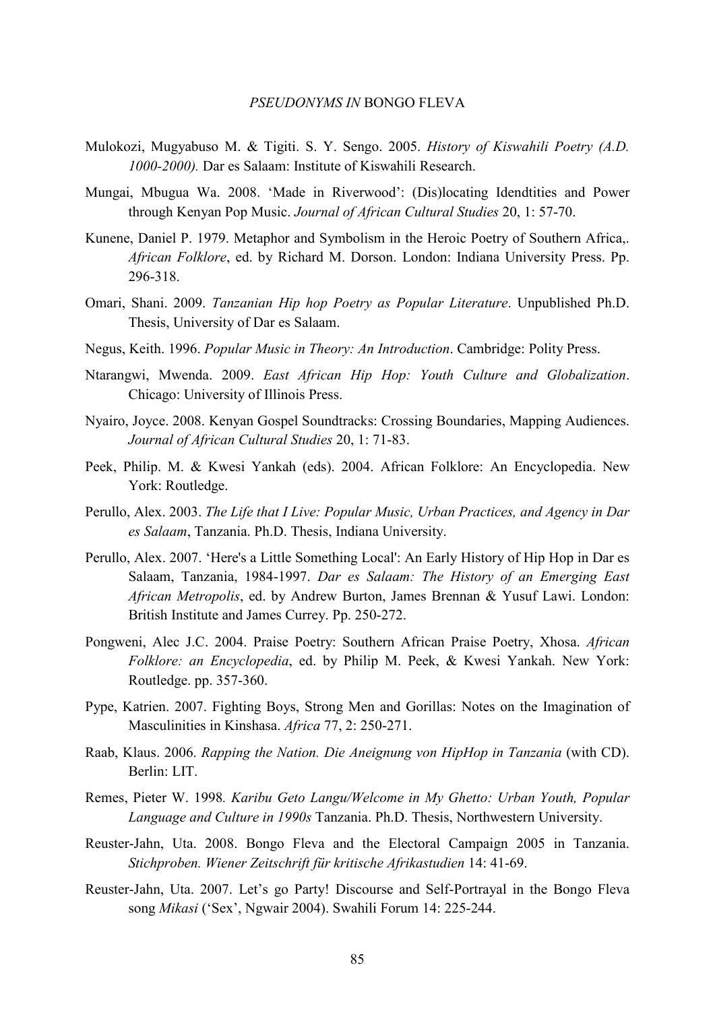- Mulokozi, Mugyabuso M. & Tigiti. S. Y. Sengo. 2005. *History of Kiswahili Poetry (A.D. 1000-2000).* Dar es Salaam: Institute of Kiswahili Research.
- Mungai, Mbugua Wa. 2008. 'Made in Riverwood': (Dis)locating Idendtities and Power through Kenyan Pop Music. *Journal of African Cultural Studies* 20, 1: 57-70.
- Kunene, Daniel P. 1979. Metaphor and Symbolism in the Heroic Poetry of Southern Africa,. *African Folklore*, ed. by Richard M. Dorson. London: Indiana University Press. Pp. 296-318.
- Omari, Shani. 2009. *Tanzanian Hip hop Poetry as Popular Literature*. Unpublished Ph.D. Thesis, University of Dar es Salaam.
- Negus, Keith. 1996. *Popular Music in Theory: An Introduction*. Cambridge: Polity Press.
- Ntarangwi, Mwenda. 2009. *East African Hip Hop: Youth Culture and Globalization*. Chicago: University of Illinois Press.
- Nyairo, Joyce. 2008. Kenyan Gospel Soundtracks: Crossing Boundaries, Mapping Audiences. *Journal of African Cultural Studies* 20, 1: 71-83.
- Peek, Philip. M. & Kwesi Yankah (eds). 2004. African Folklore: An Encyclopedia. New York: Routledge.
- Perullo, Alex. 2003. *The Life that I Live: Popular Music, Urban Practices, and Agency in Dar es Salaam*, Tanzania. Ph.D. Thesis, Indiana University.
- Perullo, Alex. 2007. 'Here's a Little Something Local': An Early History of Hip Hop in Dar es Salaam, Tanzania, 1984-1997. *Dar es Salaam: The History of an Emerging East African Metropolis*, ed. by Andrew Burton, James Brennan & Yusuf Lawi. London: British Institute and James Currey. Pp. 250-272.
- Pongweni, Alec J.C. 2004. Praise Poetry: Southern African Praise Poetry, Xhosa. *African Folklore: an Encyclopedia*, ed. by Philip M. Peek, & Kwesi Yankah. New York: Routledge. pp. 357-360.
- Pype, Katrien. 2007. Fighting Boys, Strong Men and Gorillas: Notes on the Imagination of Masculinities in Kinshasa. *Africa* 77, 2: 250-271.
- Raab, Klaus. 2006. *Rapping the Nation. Die Aneignung von HipHop in Tanzania* (with CD). Berlin: LIT.
- Remes, Pieter W. 1998*. Karibu Geto Langu/Welcome in My Ghetto: Urban Youth, Popular Language and Culture in 1990s* Tanzania. Ph.D. Thesis, Northwestern University.
- Reuster-Jahn, Uta. 2008. Bongo Fleva and the Electoral Campaign 2005 in Tanzania. *Stichproben. Wiener Zeitschrift für kritische Afrikastudien* 14: 41-69.
- Reuster-Jahn, Uta. 2007. Let's go Party! Discourse and Self-Portrayal in the Bongo Fleva song *Mikasi* ('Sex', Ngwair 2004). Swahili Forum 14: 225-244.